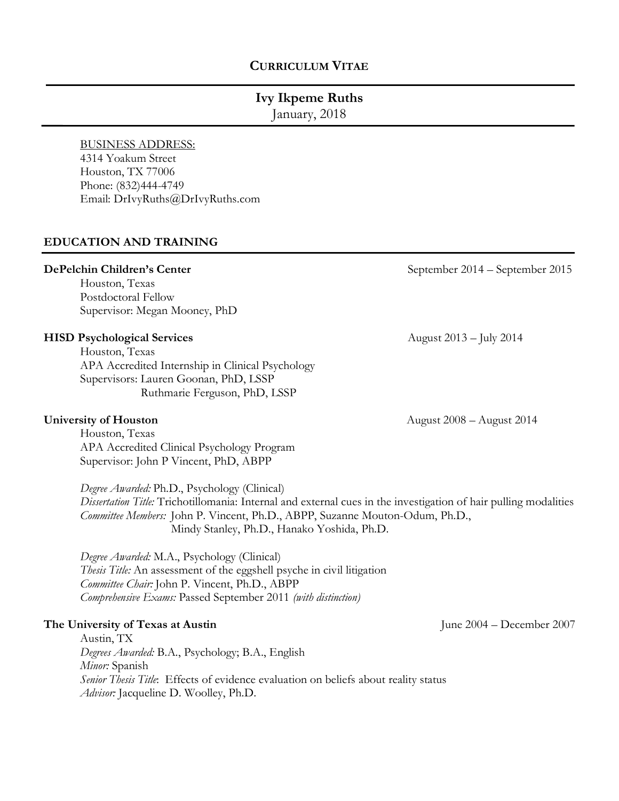## **CURRICULUM VITAE**

# **Ivy Ikpeme Ruths**

January, 2018

## BUSINESS ADDRESS:

4314 Yoakum Street Houston, TX 77006 Phone: (832)444-4749 Email: DrIvyRuths@DrIvyRuths.com

## **EDUCATION AND TRAINING**

Houston, Texas Postdoctoral Fellow Supervisor: Megan Mooney, PhD

#### **HISD Psychological Services**  $\alpha$  **August 2013** – July 2014

Houston, Texas APA Accredited Internship in Clinical Psychology Supervisors: Lauren Goonan, PhD, LSSP Ruthmarie Ferguson, PhD, LSSP

Houston, Texas APA Accredited Clinical Psychology Program Supervisor: John P Vincent, PhD, ABPP

*Degree Awarded:* Ph.D., Psychology (Clinical) *Dissertation Title:* Trichotillomania: Internal and external cues in the investigation of hair pulling modalities *Committee Members:* John P. Vincent, Ph.D., ABPP, Suzanne Mouton-Odum, Ph.D., Mindy Stanley, Ph.D., Hanako Yoshida, Ph.D.

*Degree Awarded:* M.A., Psychology (Clinical) *Thesis Title:* An assessment of the eggshell psyche in civil litigation *Committee Chair:* John P. Vincent, Ph.D., ABPP *Comprehensive Exams:* Passed September 2011 *(with distinction)*

#### **The University of Texas at Austin** June 2004 – December 2007

Austin, TX *Degrees Awarded:* B.A., Psychology; B.A., English *Minor:* Spanish *Senior Thesis Title*: Effects of evidence evaluation on beliefs about reality status *Advisor:* Jacqueline D. Woolley, Ph.D.

**DePelchin Children's Center** September 2014 – September 2015

**University of Houston** August 2008 – August 2014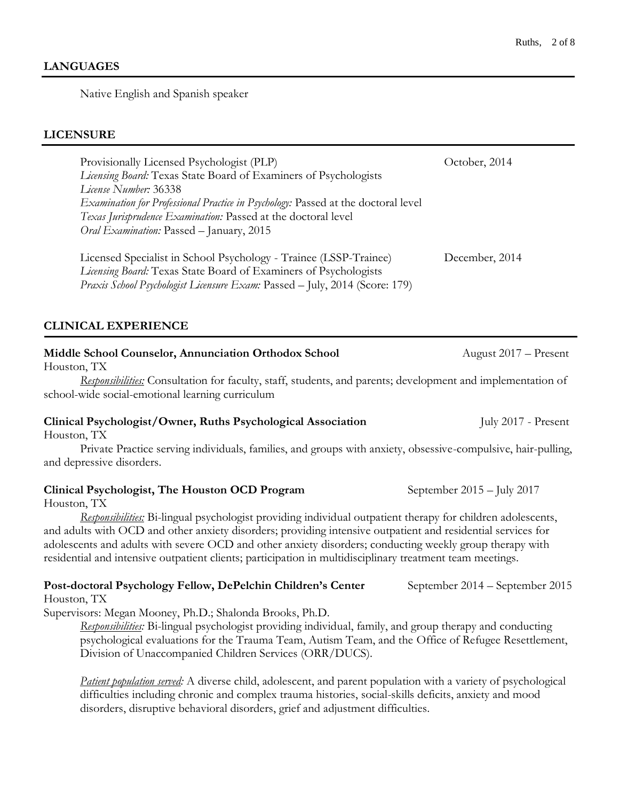## **LANGUAGES**

Native English and Spanish speaker

## **LICENSURE**

| Provisionally Licensed Psychologist (PLP)                                                                                             | October, 2014  |
|---------------------------------------------------------------------------------------------------------------------------------------|----------------|
| Licensing Board: Texas State Board of Examiners of Psychologists                                                                      |                |
| License Number: 36338                                                                                                                 |                |
| Examination for Professional Practice in Psychology: Passed at the doctoral level                                                     |                |
| Texas Jurisprudence Examination: Passed at the doctoral level                                                                         |                |
| Oral Examination: Passed - January, 2015                                                                                              |                |
| Licensed Specialist in School Psychology - Trainee (LSSP-Trainee)<br>Licensing Board: Texas State Board of Examiners of Psychologists | December, 2014 |
| Praxis School Psychologist Licensure Exam: Passed - July, 2014 (Score: 179)                                                           |                |
|                                                                                                                                       |                |
| <b>CLINICAL EXPERIENCE</b>                                                                                                            |                |
|                                                                                                                                       |                |

#### **Middle School Counselor, Annunciation Orthodox School 2017** – Present Houston, TX

*Responsibilities:* Consultation for faculty, staff, students, and parents; development and implementation of school-wide social-emotional learning curriculum

## **Clinical Psychologist/Owner, Ruths Psychological Association** July 2017 - Present

Houston, TX

Private Practice serving individuals, families, and groups with anxiety, obsessive-compulsive, hair-pulling, and depressive disorders.

## **Clinical Psychologist, The Houston OCD Program** September 2015 – July 2017

Houston, TX

*Responsibilities:* Bi-lingual psychologist providing individual outpatient therapy for children adolescents, and adults with OCD and other anxiety disorders; providing intensive outpatient and residential services for adolescents and adults with severe OCD and other anxiety disorders; conducting weekly group therapy with residential and intensive outpatient clients; participation in multidisciplinary treatment team meetings.

#### **Post-doctoral Psychology Fellow, DePelchin Children's Center** September 2014 – September 2015 Houston, TX

Supervisors: Megan Mooney, Ph.D.; Shalonda Brooks, Ph.D.

*Responsibilities:* Bi-lingual psychologist providing individual, family, and group therapy and conducting psychological evaluations for the Trauma Team, Autism Team, and the Office of Refugee Resettlement, Division of Unaccompanied Children Services (ORR/DUCS).

*Patient population served:* A diverse child, adolescent, and parent population with a variety of psychological difficulties including chronic and complex trauma histories, social-skills deficits, anxiety and mood disorders, disruptive behavioral disorders, grief and adjustment difficulties.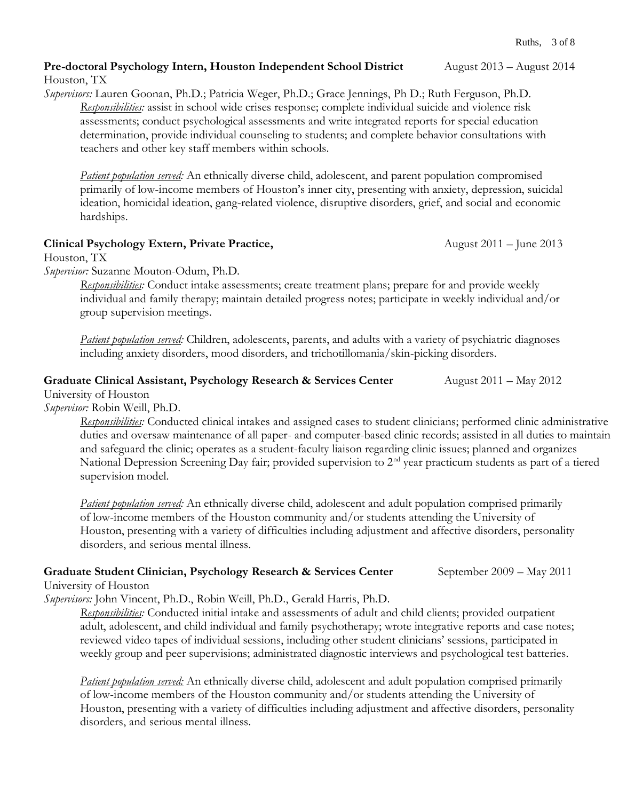#### **Pre-doctoral Psychology Intern, Houston Independent School District** August 2013 – August 2014 Houston, TX

*Supervisors:* Lauren Goonan, Ph.D.; Patricia Weger, Ph.D.; Grace Jennings, Ph D.; Ruth Ferguson, Ph.D. *Responsibilities:* assist in school wide crises response; complete individual suicide and violence risk assessments; conduct psychological assessments and write integrated reports for special education determination, provide individual counseling to students; and complete behavior consultations with teachers and other key staff members within schools.

*Patient population served:* An ethnically diverse child, adolescent, and parent population compromised primarily of low-income members of Houston's inner city, presenting with anxiety, depression, suicidal ideation, homicidal ideation, gang-related violence, disruptive disorders, grief, and social and economic hardships.

## **Clinical Psychology Extern, Private Practice,** August 2011 – June 2013

Houston, TX

*Supervisor:* Suzanne Mouton-Odum, Ph.D.

*Responsibilities:* Conduct intake assessments; create treatment plans; prepare for and provide weekly individual and family therapy; maintain detailed progress notes; participate in weekly individual and/or group supervision meetings.

*Patient population served:* Children, adolescents, parents, and adults with a variety of psychiatric diagnoses including anxiety disorders, mood disorders, and trichotillomania/skin-picking disorders.

## **Graduate Clinical Assistant, Psychology Research & Services Center** August 2011 – May 2012

University of Houston *Supervisor:* Robin Weill, Ph.D.

*Responsibilities:* Conducted clinical intakes and assigned cases to student clinicians; performed clinic administrative duties and oversaw maintenance of all paper- and computer-based clinic records; assisted in all duties to maintain and safeguard the clinic; operates as a student-faculty liaison regarding clinic issues; planned and organizes National Depression Screening Day fair; provided supervision to 2<sup>nd</sup> year practicum students as part of a tiered supervision model.

*Patient population served:* An ethnically diverse child, adolescent and adult population comprised primarily of low-income members of the Houston community and/or students attending the University of Houston, presenting with a variety of difficulties including adjustment and affective disorders, personality disorders, and serious mental illness.

## **Graduate Student Clinician, Psychology Research & Services Center** September 2009 – May 2011

University of Houston

*Supervisors:* John Vincent, Ph.D., Robin Weill, Ph.D., Gerald Harris, Ph.D.

*Responsibilities:* Conducted initial intake and assessments of adult and child clients; provided outpatient adult, adolescent, and child individual and family psychotherapy; wrote integrative reports and case notes; reviewed video tapes of individual sessions, including other student clinicians' sessions, participated in weekly group and peer supervisions; administrated diagnostic interviews and psychological test batteries.

*Patient population served:* An ethnically diverse child, adolescent and adult population comprised primarily of low-income members of the Houston community and/or students attending the University of Houston, presenting with a variety of difficulties including adjustment and affective disorders, personality disorders, and serious mental illness.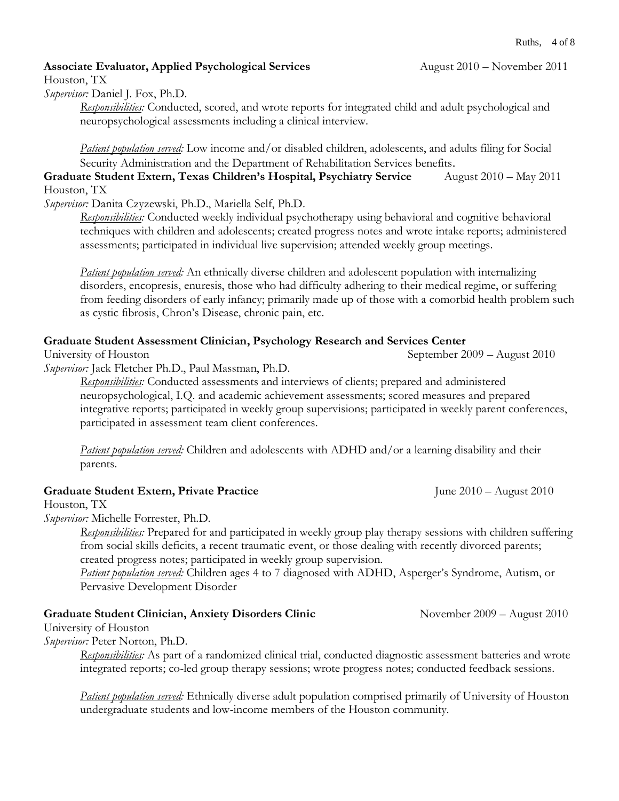## **Associate Evaluator, Applied Psychological Services** August 2010 – November 2011

Houston, TX

*Supervisor:* Daniel J. Fox, Ph.D.

*Responsibilities:* Conducted, scored, and wrote reports for integrated child and adult psychological and neuropsychological assessments including a clinical interview.

*Patient population served:* Low income and/or disabled children, adolescents, and adults filing for Social Security Administration and the Department of Rehabilitation Services benefits.

**Graduate Student Extern, Texas Children's Hospital, Psychiatry Service** August 2010 – May 2011 Houston, TX

*Supervisor:* Danita Czyzewski, Ph.D., Mariella Self, Ph.D.

*Responsibilities:* Conducted weekly individual psychotherapy using behavioral and cognitive behavioral techniques with children and adolescents; created progress notes and wrote intake reports; administered assessments; participated in individual live supervision; attended weekly group meetings.

*Patient population served:* An ethnically diverse children and adolescent population with internalizing disorders, encopresis, enuresis, those who had difficulty adhering to their medical regime, or suffering from feeding disorders of early infancy; primarily made up of those with a comorbid health problem such as cystic fibrosis, Chron's Disease, chronic pain, etc.

## **Graduate Student Assessment Clinician, Psychology Research and Services Center**

University of Houston September 2009 – August 2010

*Supervisor:* Jack Fletcher Ph.D., Paul Massman, Ph.D.

*Responsibilities:* Conducted assessments and interviews of clients; prepared and administered neuropsychological, I.Q. and academic achievement assessments; scored measures and prepared integrative reports; participated in weekly group supervisions; participated in weekly parent conferences, participated in assessment team client conferences.

*Patient population served:* Children and adolescents with ADHD and/or a learning disability and their parents.

## **Graduate Student Extern, Private Practice** June 2010 – August 2010

Houston, TX

*Supervisor:* Michelle Forrester, Ph.D.

*Responsibilities:* Prepared for and participated in weekly group play therapy sessions with children suffering from social skills deficits, a recent traumatic event, or those dealing with recently divorced parents; created progress notes; participated in weekly group supervision.

*Patient population served:* Children ages 4 to 7 diagnosed with ADHD, Asperger's Syndrome, Autism, or Pervasive Development Disorder

## **Graduate Student Clinician, Anxiety Disorders Clinic Movember 2009 – August 2010**

University of Houston

*Supervisor:* Peter Norton, Ph.D.

*Responsibilities:* As part of a randomized clinical trial, conducted diagnostic assessment batteries and wrote integrated reports; co-led group therapy sessions; wrote progress notes; conducted feedback sessions.

*Patient population served:* Ethnically diverse adult population comprised primarily of University of Houston undergraduate students and low-income members of the Houston community.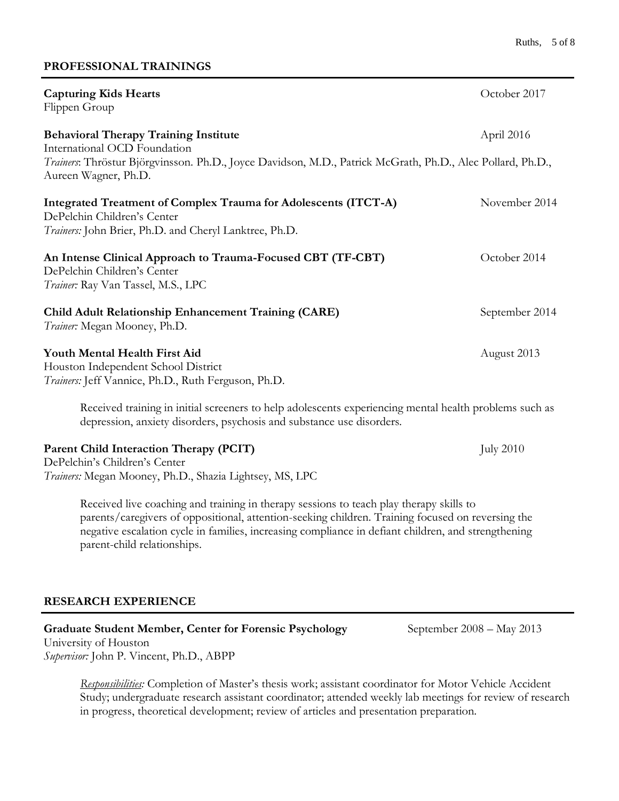#### **PROFESSIONAL TRAININGS**

| <b>Capturing Kids Hearts</b><br>Flippen Group                                                                                                                                              | October 2017     |
|--------------------------------------------------------------------------------------------------------------------------------------------------------------------------------------------|------------------|
| <b>Behavioral Therapy Training Institute</b><br>International OCD Foundation<br>Trainers: Thröstur Björgvinsson. Ph.D., Joyce Davidson, M.D., Patrick McGrath, Ph.D., Alec Pollard, Ph.D., | April 2016       |
| Aureen Wagner, Ph.D.                                                                                                                                                                       |                  |
| Integrated Treatment of Complex Trauma for Adolescents (ITCT-A)<br>DePelchin Children's Center<br>Trainers: John Brier, Ph.D. and Cheryl Lanktree, Ph.D.                                   | November 2014    |
| An Intense Clinical Approach to Trauma-Focused CBT (TF-CBT)<br>DePelchin Children's Center<br>Trainer: Ray Van Tassel, M.S., LPC                                                           | October 2014     |
| Child Adult Relationship Enhancement Training (CARE)<br>Trainer: Megan Mooney, Ph.D.                                                                                                       | September 2014   |
| Youth Mental Health First Aid<br>Houston Independent School District<br>Trainers: Jeff Vannice, Ph.D., Ruth Ferguson, Ph.D.                                                                | August 2013      |
| Received training in initial screeners to help adolescents experiencing mental health problems such as<br>depression, anxiety disorders, psychosis and substance use disorders.            |                  |
| Parent Child Interaction Therapy (PCIT)<br>DePelchin's Children's Center<br>Trainers: Megan Mooney, Ph.D., Shazia Lightsey, MS, LPC                                                        | <b>July 2010</b> |

Received live coaching and training in therapy sessions to teach play therapy skills to parents/caregivers of oppositional, attention-seeking children. Training focused on reversing the negative escalation cycle in families, increasing compliance in defiant children, and strengthening parent-child relationships.

### **RESEARCH EXPERIENCE**

## Graduate Student Member, Center for Forensic Psychology September 2008 – May 2013

University of Houston *Supervisor:* John P. Vincent, Ph.D., ABPP

> *Responsibilities:* Completion of Master's thesis work; assistant coordinator for Motor Vehicle Accident Study; undergraduate research assistant coordinator; attended weekly lab meetings for review of research in progress, theoretical development; review of articles and presentation preparation.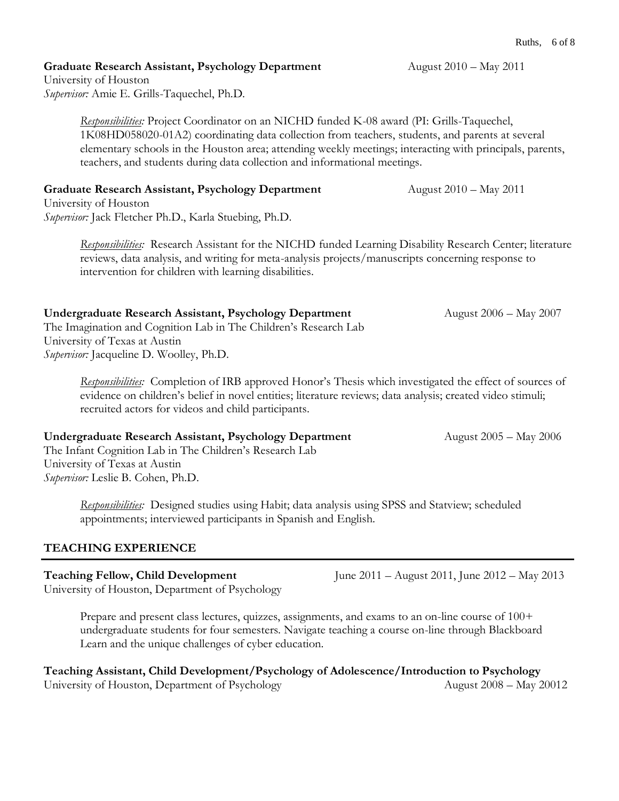**Graduate Research Assistant, Psychology Department** August 2010 – May 2011

University of Houston *Supervisor:* Amie E. Grills-Taquechel, Ph.D.

> *Responsibilities:* Project Coordinator on an NICHD funded K-08 award (PI: Grills-Taquechel, 1K08HD058020-01A2) coordinating data collection from teachers, students, and parents at several elementary schools in the Houston area; attending weekly meetings; interacting with principals, parents, teachers, and students during data collection and informational meetings.

## **Graduate Research Assistant, Psychology Department** August 2010 – May 2011

University of Houston *Supervisor:* Jack Fletcher Ph.D., Karla Stuebing, Ph.D.

> *Responsibilities:* Research Assistant for the NICHD funded Learning Disability Research Center; literature reviews, data analysis, and writing for meta-analysis projects/manuscripts concerning response to intervention for children with learning disabilities.

## **Undergraduate Research Assistant, Psychology Department** August 2006 – May 2007

The Imagination and Cognition Lab in The Children's Research Lab University of Texas at Austin *Supervisor:* Jacqueline D. Woolley, Ph.D.

> *Responsibilities:* Completion of IRB approved Honor's Thesis which investigated the effect of sources of evidence on children's belief in novel entities; literature reviews; data analysis; created video stimuli; recruited actors for videos and child participants.

### **Undergraduate Research Assistant, Psychology Department** August 2005 – May 2006

The Infant Cognition Lab in The Children's Research Lab University of Texas at Austin *Supervisor:* Leslie B. Cohen, Ph.D.

> *Responsibilities:* Designed studies using Habit; data analysis using SPSS and Statview; scheduled appointments; interviewed participants in Spanish and English.

## **TEACHING EXPERIENCE**

## **Teaching Fellow, Child Development** June 2011 – August 2011, June 2012 – May 2013

University of Houston, Department of Psychology

Prepare and present class lectures, quizzes, assignments, and exams to an on-line course of 100+ undergraduate students for four semesters. Navigate teaching a course on-line through Blackboard Learn and the unique challenges of cyber education.

**Teaching Assistant, Child Development/Psychology of Adolescence/Introduction to Psychology** University of Houston, Department of Psychology **August 2008** – May 20012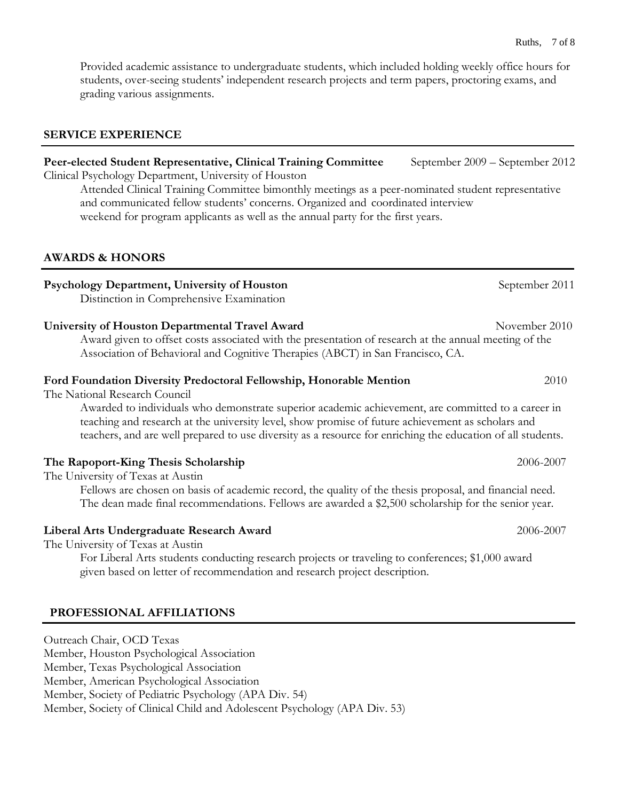Provided academic assistance to undergraduate students, which included holding weekly office hours for students, over-seeing students' independent research projects and term papers, proctoring exams, and grading various assignments.

#### **SERVICE EXPERIENCE**

# Peer-elected Student Representative, Clinical Training Committee September 2009 – September 2012 Clinical Psychology Department, University of Houston Attended Clinical Training Committee bimonthly meetings as a peer-nominated student representative and communicated fellow students' concerns. Organized and coordinated interview weekend for program applicants as well as the annual party for the first years.

#### **AWARDS & HONORS**

## **Psychology Department, University of Houston** *September 2011* **September 2011**

Distinction in Comprehensive Examination

#### **University of Houston Departmental Travel Award**  November 2010

Award given to offset costs associated with the presentation of research at the annual meeting of the Association of Behavioral and Cognitive Therapies (ABCT) in San Francisco, CA.

#### **Ford Foundation Diversity Predoctoral Fellowship, Honorable Mention** 2010

The National Research Council

Awarded to individuals who demonstrate superior academic achievement, are committed to a career in teaching and research at the university level, show promise of future achievement as scholars and teachers, and are well prepared to use diversity as a resource for enriching the education of all students.

### **The Rapoport-King Thesis Scholarship** 2006-2007

The University of Texas at Austin

Fellows are chosen on basis of academic record, the quality of the thesis proposal, and financial need. The dean made final recommendations. Fellows are awarded a \$2,500 scholarship for the senior year.

#### **Liberal Arts Undergraduate Research Award** 2006-2007

The University of Texas at Austin

For Liberal Arts students conducting research projects or traveling to conferences; \$1,000 award given based on letter of recommendation and research project description.

### **PROFESSIONAL AFFILIATIONS**

Outreach Chair, OCD Texas Member, Houston Psychological Association Member, Texas Psychological Association Member, American Psychological Association Member, Society of Pediatric Psychology (APA Div. 54) Member, Society of Clinical Child and Adolescent Psychology (APA Div. 53)